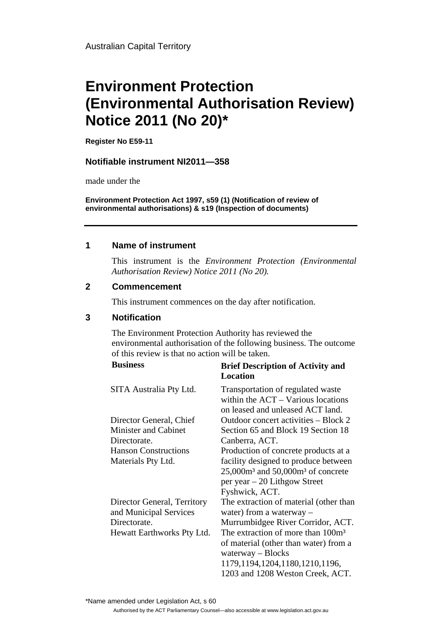# **Environment Protection (Environmental Authorisation Review) Notice 2011 (No 20)\***

**Register No E59-11**

#### **Notifiable instrument NI2011—358**

made under the

**Environment Protection Act 1997, s59 (1) (Notification of review of environmental authorisations) & s19 (Inspection of documents)**

### **1 Name of instrument**

This instrument is the *Environment Protection (Environmental Authorisation Review) Notice 2011 (No 20).* 

### **2 Commencement**

This instrument commences on the day after notification.

### **3 Notification**

The Environment Protection Authority has reviewed the environmental authorisation of the following business. The outcome of this review is that no action will be taken.

| <b>Business</b>             | <b>Brief Description of Activity and</b><br><b>Location</b>                                                   |
|-----------------------------|---------------------------------------------------------------------------------------------------------------|
| SITA Australia Pty Ltd.     | Transportation of regulated waste<br>within the $ACT - Various$ locations<br>on leased and unleased ACT land. |
| Director General, Chief     | Outdoor concert activities – Block 2                                                                          |
| <b>Minister and Cabinet</b> | Section 65 and Block 19 Section 18                                                                            |
| Directorate.                | Canberra, ACT.                                                                                                |
| <b>Hanson Constructions</b> | Production of concrete products at a                                                                          |
| Materials Pty Ltd.          | facility designed to produce between                                                                          |
|                             | $25,000m3$ and $50,000m3$ of concrete                                                                         |
|                             | per year $-20$ Lithgow Street                                                                                 |
|                             | Fyshwick, ACT.                                                                                                |
| Director General, Territory | The extraction of material (other than                                                                        |
| and Municipal Services      | water) from a waterway –                                                                                      |
| Directorate.                | Murrumbidgee River Corridor, ACT.                                                                             |
| Hewatt Earthworks Pty Ltd.  | The extraction of more than 100m <sup>3</sup>                                                                 |
|                             | of material (other than water) from a<br>$waterway - Blocks$                                                  |
|                             |                                                                                                               |
|                             | 1179, 1194, 1204, 1180, 1210, 1196,                                                                           |
|                             | 1203 and 1208 Weston Creek, ACT.                                                                              |